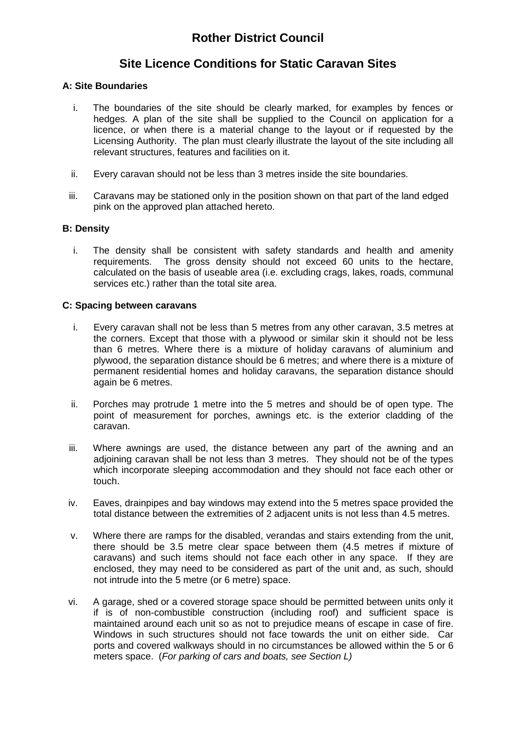# **Rother District Council**

# **Site Licence Conditions for Static Caravan Sites**

#### **A: Site Boundaries**

- i. The boundaries of the site should be clearly marked, for examples by fences or hedges. A plan of the site shall be supplied to the Council on application for a licence, or when there is a material change to the layout or if requested by the Licensing Authority. The plan must clearly illustrate the layout of the site including all relevant structures, features and facilities on it.
- ii. Every caravan should not be less than 3 metres inside the site boundaries.
- iii. Caravans may be stationed only in the position shown on that part of the land edged pink on the approved plan attached hereto.

#### **B: Density**

i. The density shall be consistent with safety standards and health and amenity requirements. The gross density should not exceed 60 units to the hectare, calculated on the basis of useable area (i.e. excluding crags, lakes, roads, communal services etc.) rather than the total site area.

#### **C: Spacing between caravans**

- i. Every caravan shall not be less than 5 metres from any other caravan, 3.5 metres at the corners. Except that those with a plywood or similar skin it should not be less than 6 metres. Where there is a mixture of holiday caravans of aluminium and plywood, the separation distance should be 6 metres; and where there is a mixture of permanent residential homes and holiday caravans, the separation distance should again be 6 metres.
- ii. Porches may protrude 1 metre into the 5 metres and should be of open type. The point of measurement for porches, awnings etc. is the exterior cladding of the caravan.
- iii. Where awnings are used, the distance between any part of the awning and an adjoining caravan shall be not less than 3 metres. They should not be of the types which incorporate sleeping accommodation and they should not face each other or touch.
- iv. Eaves, drainpipes and bay windows may extend into the 5 metres space provided the total distance between the extremities of 2 adjacent units is not less than 4.5 metres.
- v. Where there are ramps for the disabled, verandas and stairs extending from the unit, there should be 3.5 metre clear space between them (4.5 metres if mixture of caravans) and such items should not face each other in any space. If they are enclosed, they may need to be considered as part of the unit and, as such, should not intrude into the 5 metre (or 6 metre) space.
- vi. A garage, shed or a covered storage space should be permitted between units only it if is of non-combustible construction (including roof) and sufficient space is maintained around each unit so as not to prejudice means of escape in case of fire. Windows in such structures should not face towards the unit on either side. Car ports and covered walkways should in no circumstances be allowed within the 5 or 6 meters space. (*For parking of cars and boats, see Section L)*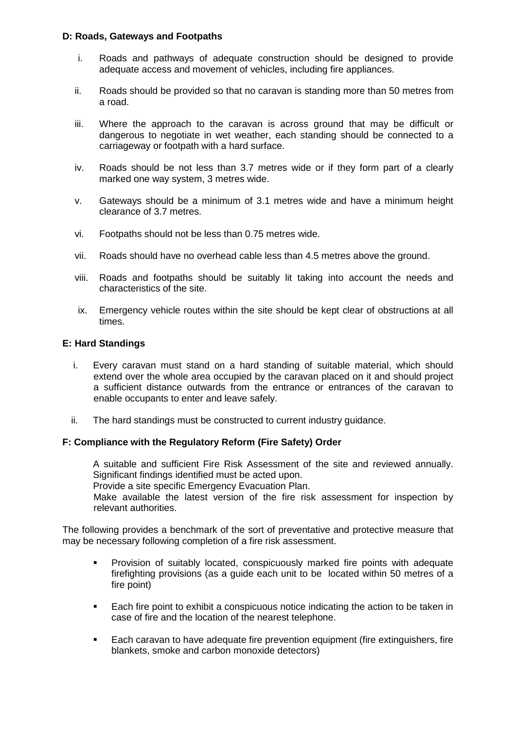#### **D: Roads, Gateways and Footpaths**

- i. Roads and pathways of adequate construction should be designed to provide adequate access and movement of vehicles, including fire appliances.
- ii. Roads should be provided so that no caravan is standing more than 50 metres from a road.
- iii. Where the approach to the caravan is across ground that may be difficult or dangerous to negotiate in wet weather, each standing should be connected to a carriageway or footpath with a hard surface.
- iv. Roads should be not less than 3.7 metres wide or if they form part of a clearly marked one way system, 3 metres wide.
- v. Gateways should be a minimum of 3.1 metres wide and have a minimum height clearance of 3.7 metres.
- vi. Footpaths should not be less than 0.75 metres wide.
- vii. Roads should have no overhead cable less than 4.5 metres above the ground.
- viii. Roads and footpaths should be suitably lit taking into account the needs and characteristics of the site.
- ix. Emergency vehicle routes within the site should be kept clear of obstructions at all times.

#### **E: Hard Standings**

- i. Every caravan must stand on a hard standing of suitable material, which should extend over the whole area occupied by the caravan placed on it and should project a sufficient distance outwards from the entrance or entrances of the caravan to enable occupants to enter and leave safely.
- ii. The hard standings must be constructed to current industry guidance.

#### **F: Compliance with the Regulatory Reform (Fire Safety) Order**

A suitable and sufficient Fire Risk Assessment of the site and reviewed annually. Significant findings identified must be acted upon.

Provide a site specific Emergency Evacuation Plan.

Make available the latest version of the fire risk assessment for inspection by relevant authorities.

The following provides a benchmark of the sort of preventative and protective measure that may be necessary following completion of a fire risk assessment.

- **Provision of suitably located, conspicuously marked fire points with adequate** firefighting provisions (as a guide each unit to be located within 50 metres of a fire point)
- Each fire point to exhibit a conspicuous notice indicating the action to be taken in case of fire and the location of the nearest telephone.
- **Each caravan to have adequate fire prevention equipment (fire extinguishers, fire** blankets, smoke and carbon monoxide detectors)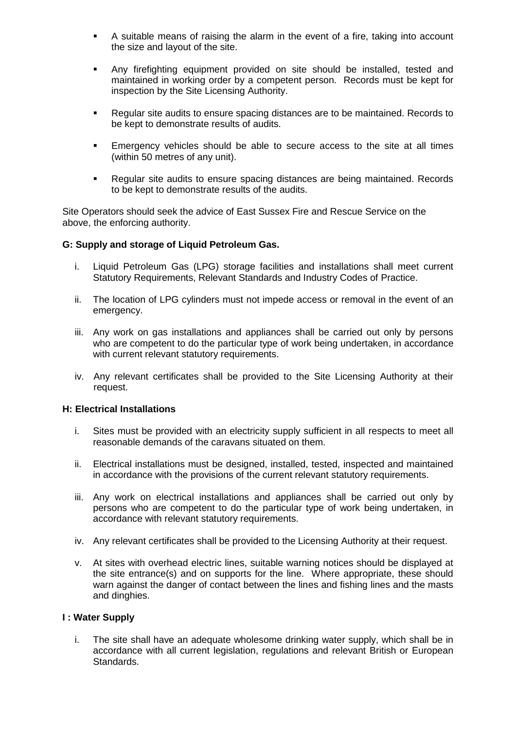- A suitable means of raising the alarm in the event of a fire, taking into account the size and layout of the site.
- Any firefighting equipment provided on site should be installed, tested and maintained in working order by a competent person. Records must be kept for inspection by the Site Licensing Authority.
- Regular site audits to ensure spacing distances are to be maintained. Records to be kept to demonstrate results of audits.
- Emergency vehicles should be able to secure access to the site at all times (within 50 metres of any unit).
- Regular site audits to ensure spacing distances are being maintained. Records to be kept to demonstrate results of the audits.

Site Operators should seek the advice of East Sussex Fire and Rescue Service on the above, the enforcing authority.

#### **G: Supply and storage of Liquid Petroleum Gas.**

- i. Liquid Petroleum Gas (LPG) storage facilities and installations shall meet current Statutory Requirements, Relevant Standards and Industry Codes of Practice.
- ii. The location of LPG cylinders must not impede access or removal in the event of an emergency.
- iii. Any work on gas installations and appliances shall be carried out only by persons who are competent to do the particular type of work being undertaken, in accordance with current relevant statutory requirements.
- iv. Any relevant certificates shall be provided to the Site Licensing Authority at their request.

#### **H: Electrical Installations**

- i. Sites must be provided with an electricity supply sufficient in all respects to meet all reasonable demands of the caravans situated on them.
- ii. Electrical installations must be designed, installed, tested, inspected and maintained in accordance with the provisions of the current relevant statutory requirements.
- iii. Any work on electrical installations and appliances shall be carried out only by persons who are competent to do the particular type of work being undertaken, in accordance with relevant statutory requirements.
- iv. Any relevant certificates shall be provided to the Licensing Authority at their request.
- v. At sites with overhead electric lines, suitable warning notices should be displayed at the site entrance(s) and on supports for the line. Where appropriate, these should warn against the danger of contact between the lines and fishing lines and the masts and dinghies.

#### **I : Water Supply**

i. The site shall have an adequate wholesome drinking water supply, which shall be in accordance with all current legislation, regulations and relevant British or European Standards.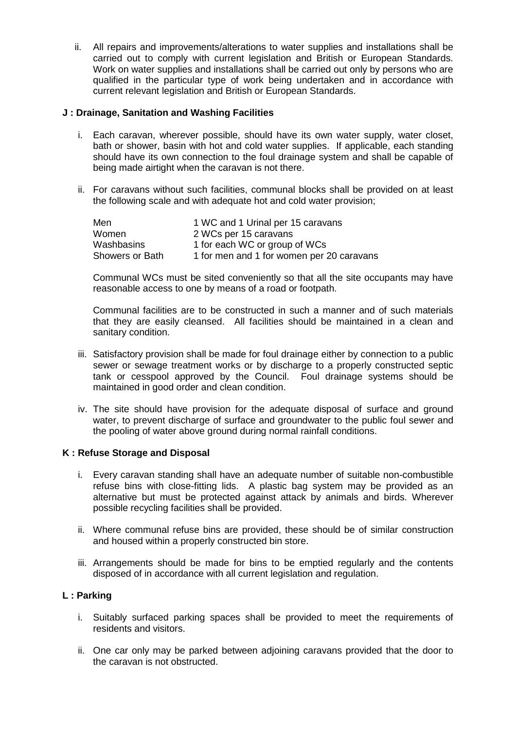ii. All repairs and improvements/alterations to water supplies and installations shall be carried out to comply with current legislation and British or European Standards. Work on water supplies and installations shall be carried out only by persons who are qualified in the particular type of work being undertaken and in accordance with current relevant legislation and British or European Standards.

#### **J : Drainage, Sanitation and Washing Facilities**

- i. Each caravan, wherever possible, should have its own water supply, water closet, bath or shower, basin with hot and cold water supplies. If applicable, each standing should have its own connection to the foul drainage system and shall be capable of being made airtight when the caravan is not there.
- ii. For caravans without such facilities, communal blocks shall be provided on at least the following scale and with adequate hot and cold water provision;

| Men             | 1 WC and 1 Urinal per 15 caravans         |
|-----------------|-------------------------------------------|
| Women           | 2 WCs per 15 caravans                     |
| Washbasins      | 1 for each WC or group of WCs             |
| Showers or Bath | 1 for men and 1 for women per 20 caravans |

Communal WCs must be sited conveniently so that all the site occupants may have reasonable access to one by means of a road or footpath.

Communal facilities are to be constructed in such a manner and of such materials that they are easily cleansed. All facilities should be maintained in a clean and sanitary condition.

- iii. Satisfactory provision shall be made for foul drainage either by connection to a public sewer or sewage treatment works or by discharge to a properly constructed septic tank or cesspool approved by the Council. Foul drainage systems should be maintained in good order and clean condition.
- iv. The site should have provision for the adequate disposal of surface and ground water, to prevent discharge of surface and groundwater to the public foul sewer and the pooling of water above ground during normal rainfall conditions.

#### **K : Refuse Storage and Disposal**

- i. Every caravan standing shall have an adequate number of suitable non-combustible refuse bins with close-fitting lids. A plastic bag system may be provided as an alternative but must be protected against attack by animals and birds. Wherever possible recycling facilities shall be provided.
- ii. Where communal refuse bins are provided, these should be of similar construction and housed within a properly constructed bin store.
- iii. Arrangements should be made for bins to be emptied regularly and the contents disposed of in accordance with all current legislation and regulation.

#### **L : Parking**

- i. Suitably surfaced parking spaces shall be provided to meet the requirements of residents and visitors.
- ii. One car only may be parked between adjoining caravans provided that the door to the caravan is not obstructed.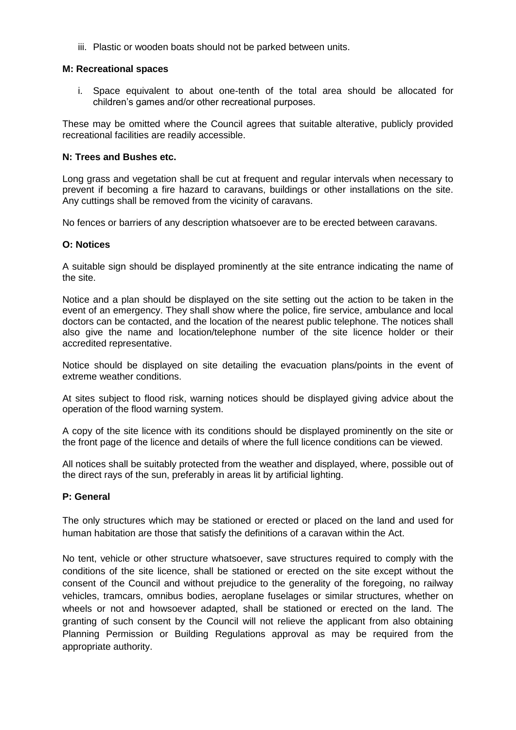iii. Plastic or wooden boats should not be parked between units.

#### **M: Recreational spaces**

i. Space equivalent to about one-tenth of the total area should be allocated for children's games and/or other recreational purposes.

These may be omitted where the Council agrees that suitable alterative, publicly provided recreational facilities are readily accessible.

#### **N: Trees and Bushes etc.**

Long grass and vegetation shall be cut at frequent and regular intervals when necessary to prevent if becoming a fire hazard to caravans, buildings or other installations on the site. Any cuttings shall be removed from the vicinity of caravans.

No fences or barriers of any description whatsoever are to be erected between caravans.

#### **O: Notices**

A suitable sign should be displayed prominently at the site entrance indicating the name of the site.

Notice and a plan should be displayed on the site setting out the action to be taken in the event of an emergency. They shall show where the police, fire service, ambulance and local doctors can be contacted, and the location of the nearest public telephone. The notices shall also give the name and location/telephone number of the site licence holder or their accredited representative.

Notice should be displayed on site detailing the evacuation plans/points in the event of extreme weather conditions.

At sites subject to flood risk, warning notices should be displayed giving advice about the operation of the flood warning system.

A copy of the site licence with its conditions should be displayed prominently on the site or the front page of the licence and details of where the full licence conditions can be viewed.

All notices shall be suitably protected from the weather and displayed, where, possible out of the direct rays of the sun, preferably in areas lit by artificial lighting.

#### **P: General**

The only structures which may be stationed or erected or placed on the land and used for human habitation are those that satisfy the definitions of a caravan within the Act.

No tent, vehicle or other structure whatsoever, save structures required to comply with the conditions of the site licence, shall be stationed or erected on the site except without the consent of the Council and without prejudice to the generality of the foregoing, no railway vehicles, tramcars, omnibus bodies, aeroplane fuselages or similar structures, whether on wheels or not and howsoever adapted, shall be stationed or erected on the land. The granting of such consent by the Council will not relieve the applicant from also obtaining Planning Permission or Building Regulations approval as may be required from the appropriate authority.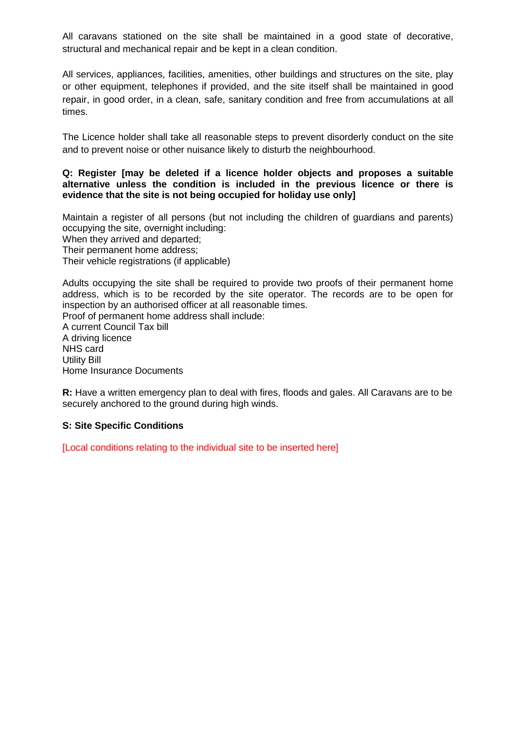All caravans stationed on the site shall be maintained in a good state of decorative, structural and mechanical repair and be kept in a clean condition.

All services, appliances, facilities, amenities, other buildings and structures on the site, play or other equipment, telephones if provided, and the site itself shall be maintained in good repair, in good order, in a clean, safe, sanitary condition and free from accumulations at all times.

The Licence holder shall take all reasonable steps to prevent disorderly conduct on the site and to prevent noise or other nuisance likely to disturb the neighbourhood.

#### **Q: Register [may be deleted if a licence holder objects and proposes a suitable alternative unless the condition is included in the previous licence or there is evidence that the site is not being occupied for holiday use only]**

Maintain a register of all persons (but not including the children of guardians and parents) occupying the site, overnight including: When they arrived and departed; Their permanent home address; Their vehicle registrations (if applicable)

Adults occupying the site shall be required to provide two proofs of their permanent home address, which is to be recorded by the site operator. The records are to be open for inspection by an authorised officer at all reasonable times.

Proof of permanent home address shall include: A current Council Tax bill A driving licence NHS card Utility Bill Home Insurance Documents

**R:** Have a written emergency plan to deal with fires, floods and gales. All Caravans are to be securely anchored to the ground during high winds.

#### **S: Site Specific Conditions**

[Local conditions relating to the individual site to be inserted here]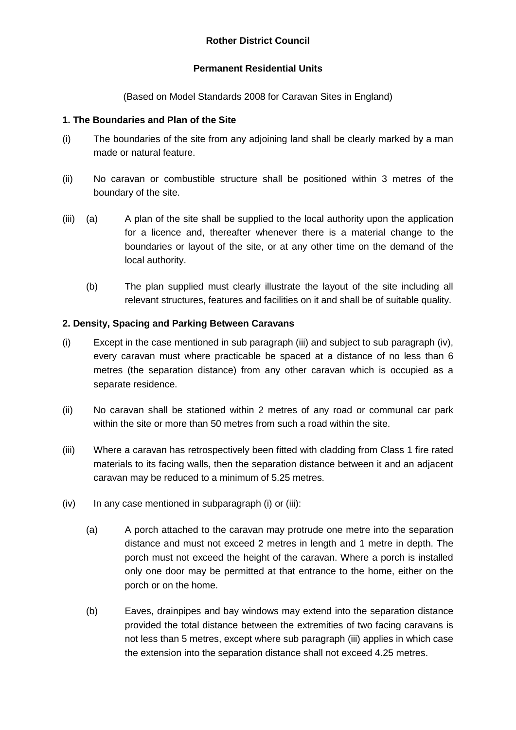# **Permanent Residential Units**

(Based on Model Standards 2008 for Caravan Sites in England)

# **1. The Boundaries and Plan of the Site**

- (i) The boundaries of the site from any adjoining land shall be clearly marked by a man made or natural feature.
- (ii) No caravan or combustible structure shall be positioned within 3 metres of the boundary of the site.
- (iii) (a) A plan of the site shall be supplied to the local authority upon the application for a licence and, thereafter whenever there is a material change to the boundaries or layout of the site, or at any other time on the demand of the local authority.
	- (b) The plan supplied must clearly illustrate the layout of the site including all relevant structures, features and facilities on it and shall be of suitable quality.

# **2. Density, Spacing and Parking Between Caravans**

- (i) Except in the case mentioned in sub paragraph (iii) and subject to sub paragraph (iv), every caravan must where practicable be spaced at a distance of no less than 6 metres (the separation distance) from any other caravan which is occupied as a separate residence.
- (ii) No caravan shall be stationed within 2 metres of any road or communal car park within the site or more than 50 metres from such a road within the site.
- (iii) Where a caravan has retrospectively been fitted with cladding from Class 1 fire rated materials to its facing walls, then the separation distance between it and an adjacent caravan may be reduced to a minimum of 5.25 metres.
- $(iv)$  In any case mentioned in subparagraph  $(i)$  or  $(iii)$ :
	- (a) A porch attached to the caravan may protrude one metre into the separation distance and must not exceed 2 metres in length and 1 metre in depth. The porch must not exceed the height of the caravan. Where a porch is installed only one door may be permitted at that entrance to the home, either on the porch or on the home.
	- (b) Eaves, drainpipes and bay windows may extend into the separation distance provided the total distance between the extremities of two facing caravans is not less than 5 metres, except where sub paragraph (iii) applies in which case the extension into the separation distance shall not exceed 4.25 metres.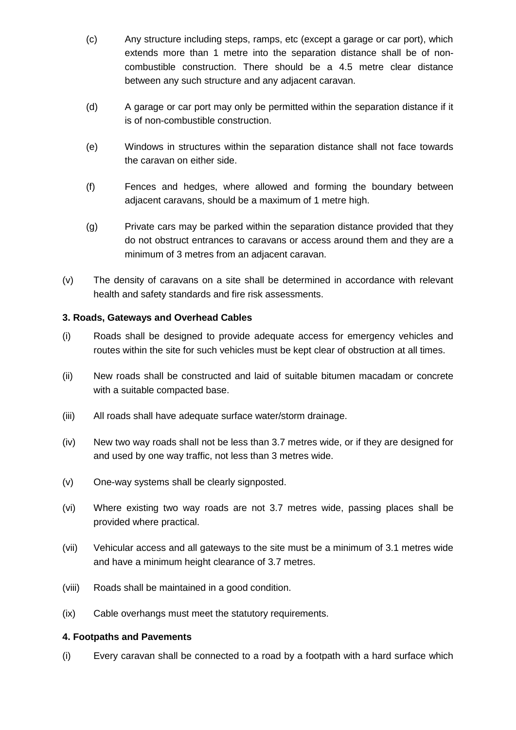- (c) Any structure including steps, ramps, etc (except a garage or car port), which extends more than 1 metre into the separation distance shall be of noncombustible construction. There should be a 4.5 metre clear distance between any such structure and any adjacent caravan.
- (d) A garage or car port may only be permitted within the separation distance if it is of non-combustible construction.
- (e) Windows in structures within the separation distance shall not face towards the caravan on either side.
- (f) Fences and hedges, where allowed and forming the boundary between adjacent caravans, should be a maximum of 1 metre high.
- (g) Private cars may be parked within the separation distance provided that they do not obstruct entrances to caravans or access around them and they are a minimum of 3 metres from an adjacent caravan.
- (v) The density of caravans on a site shall be determined in accordance with relevant health and safety standards and fire risk assessments.

### **3. Roads, Gateways and Overhead Cables**

- (i) Roads shall be designed to provide adequate access for emergency vehicles and routes within the site for such vehicles must be kept clear of obstruction at all times.
- (ii) New roads shall be constructed and laid of suitable bitumen macadam or concrete with a suitable compacted base.
- (iii) All roads shall have adequate surface water/storm drainage.
- (iv) New two way roads shall not be less than 3.7 metres wide, or if they are designed for and used by one way traffic, not less than 3 metres wide.
- (v) One-way systems shall be clearly signposted.
- (vi) Where existing two way roads are not 3.7 metres wide, passing places shall be provided where practical.
- (vii) Vehicular access and all gateways to the site must be a minimum of 3.1 metres wide and have a minimum height clearance of 3.7 metres.
- (viii) Roads shall be maintained in a good condition.
- (ix) Cable overhangs must meet the statutory requirements.

#### **4. Footpaths and Pavements**

(i) Every caravan shall be connected to a road by a footpath with a hard surface which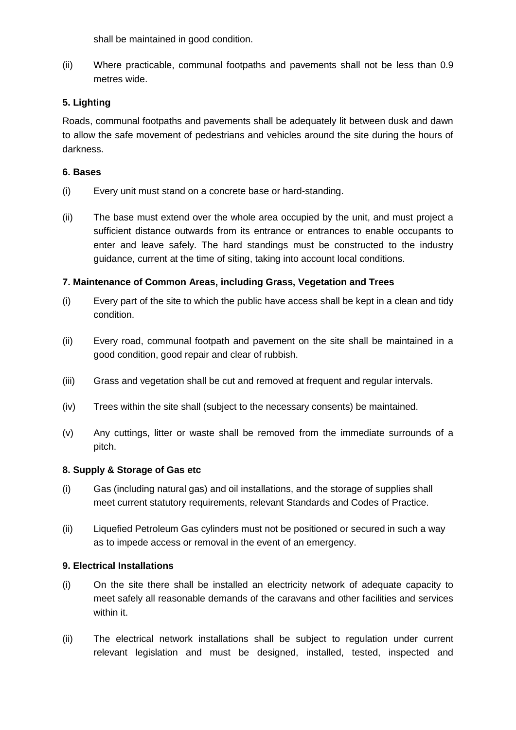shall be maintained in good condition.

(ii) Where practicable, communal footpaths and pavements shall not be less than 0.9 metres wide.

# **5. Lighting**

Roads, communal footpaths and pavements shall be adequately lit between dusk and dawn to allow the safe movement of pedestrians and vehicles around the site during the hours of darkness.

# **6. Bases**

- (i) Every unit must stand on a concrete base or hard-standing.
- (ii) The base must extend over the whole area occupied by the unit, and must project a sufficient distance outwards from its entrance or entrances to enable occupants to enter and leave safely. The hard standings must be constructed to the industry guidance, current at the time of siting, taking into account local conditions.

# **7. Maintenance of Common Areas, including Grass, Vegetation and Trees**

- (i) Every part of the site to which the public have access shall be kept in a clean and tidy condition.
- (ii) Every road, communal footpath and pavement on the site shall be maintained in a good condition, good repair and clear of rubbish.
- (iii) Grass and vegetation shall be cut and removed at frequent and regular intervals.
- (iv) Trees within the site shall (subject to the necessary consents) be maintained.
- (v) Any cuttings, litter or waste shall be removed from the immediate surrounds of a pitch.

# **8. Supply & Storage of Gas etc**

- (i) Gas (including natural gas) and oil installations, and the storage of supplies shall meet current statutory requirements, relevant Standards and Codes of Practice.
- (ii) Liquefied Petroleum Gas cylinders must not be positioned or secured in such a way as to impede access or removal in the event of an emergency.

# **9. Electrical Installations**

- (i) On the site there shall be installed an electricity network of adequate capacity to meet safely all reasonable demands of the caravans and other facilities and services within it.
- (ii) The electrical network installations shall be subject to regulation under current relevant legislation and must be designed, installed, tested, inspected and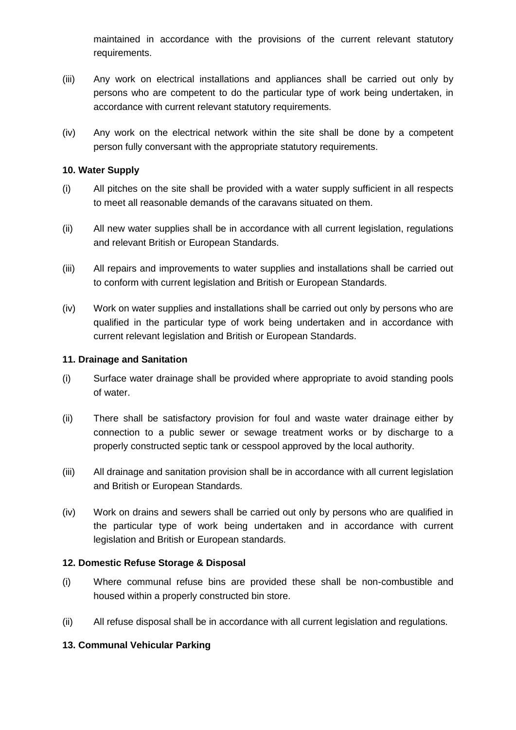maintained in accordance with the provisions of the current relevant statutory requirements.

- (iii) Any work on electrical installations and appliances shall be carried out only by persons who are competent to do the particular type of work being undertaken, in accordance with current relevant statutory requirements.
- (iv) Any work on the electrical network within the site shall be done by a competent person fully conversant with the appropriate statutory requirements.

# **10. Water Supply**

- (i) All pitches on the site shall be provided with a water supply sufficient in all respects to meet all reasonable demands of the caravans situated on them.
- (ii) All new water supplies shall be in accordance with all current legislation, regulations and relevant British or European Standards.
- (iii) All repairs and improvements to water supplies and installations shall be carried out to conform with current legislation and British or European Standards.
- (iv) Work on water supplies and installations shall be carried out only by persons who are qualified in the particular type of work being undertaken and in accordance with current relevant legislation and British or European Standards.

### **11. Drainage and Sanitation**

- (i) Surface water drainage shall be provided where appropriate to avoid standing pools of water.
- (ii) There shall be satisfactory provision for foul and waste water drainage either by connection to a public sewer or sewage treatment works or by discharge to a properly constructed septic tank or cesspool approved by the local authority.
- (iii) All drainage and sanitation provision shall be in accordance with all current legislation and British or European Standards.
- (iv) Work on drains and sewers shall be carried out only by persons who are qualified in the particular type of work being undertaken and in accordance with current legislation and British or European standards.

#### **12. Domestic Refuse Storage & Disposal**

- (i) Where communal refuse bins are provided these shall be non-combustible and housed within a properly constructed bin store.
- (ii) All refuse disposal shall be in accordance with all current legislation and regulations.

# **13. Communal Vehicular Parking**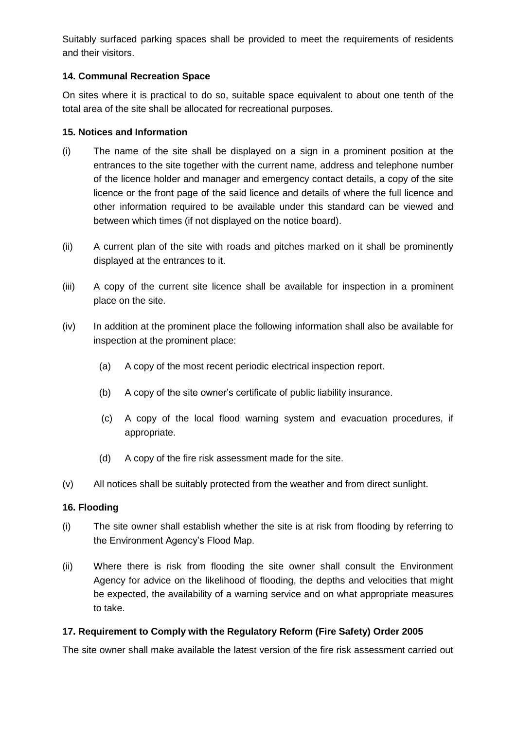Suitably surfaced parking spaces shall be provided to meet the requirements of residents and their visitors.

# **14. Communal Recreation Space**

On sites where it is practical to do so, suitable space equivalent to about one tenth of the total area of the site shall be allocated for recreational purposes.

#### **15. Notices and Information**

- (i) The name of the site shall be displayed on a sign in a prominent position at the entrances to the site together with the current name, address and telephone number of the licence holder and manager and emergency contact details, a copy of the site licence or the front page of the said licence and details of where the full licence and other information required to be available under this standard can be viewed and between which times (if not displayed on the notice board).
- (ii) A current plan of the site with roads and pitches marked on it shall be prominently displayed at the entrances to it.
- (iii) A copy of the current site licence shall be available for inspection in a prominent place on the site.
- (iv) In addition at the prominent place the following information shall also be available for inspection at the prominent place:
	- (a) A copy of the most recent periodic electrical inspection report.
	- (b) A copy of the site owner's certificate of public liability insurance.
	- (c) A copy of the local flood warning system and evacuation procedures, if appropriate.
	- (d) A copy of the fire risk assessment made for the site.
- (v) All notices shall be suitably protected from the weather and from direct sunlight.

#### **16. Flooding**

- (i) The site owner shall establish whether the site is at risk from flooding by referring to the Environment Agency's Flood Map.
- (ii) Where there is risk from flooding the site owner shall consult the Environment Agency for advice on the likelihood of flooding, the depths and velocities that might be expected, the availability of a warning service and on what appropriate measures to take.

# **17. Requirement to Comply with the Regulatory Reform (Fire Safety) Order 2005**

The site owner shall make available the latest version of the fire risk assessment carried out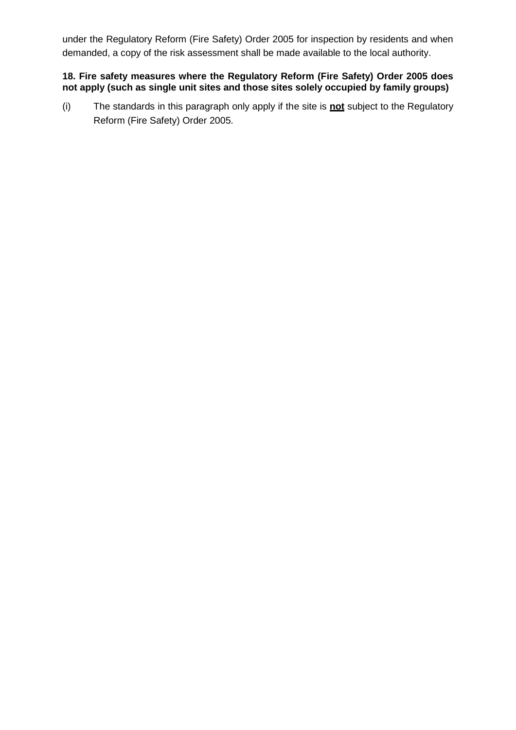under the Regulatory Reform (Fire Safety) Order 2005 for inspection by residents and when demanded, a copy of the risk assessment shall be made available to the local authority.

### **18. Fire safety measures where the Regulatory Reform (Fire Safety) Order 2005 does not apply (such as single unit sites and those sites solely occupied by family groups)**

(i) The standards in this paragraph only apply if the site is **not** subject to the Regulatory Reform (Fire Safety) Order 2005.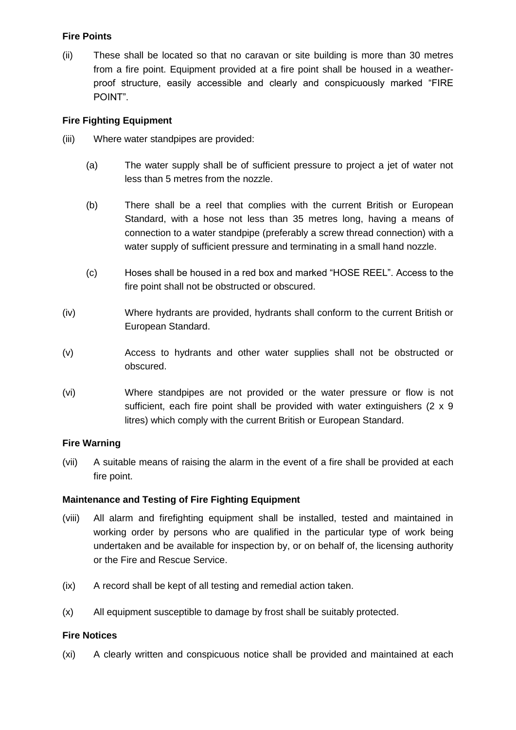# **Fire Points**

(ii) These shall be located so that no caravan or site building is more than 30 metres from a fire point. Equipment provided at a fire point shall be housed in a weatherproof structure, easily accessible and clearly and conspicuously marked "FIRE POINT".

# **Fire Fighting Equipment**

- (iii) Where water standpipes are provided:
	- (a) The water supply shall be of sufficient pressure to project a jet of water not less than 5 metres from the nozzle.
	- (b) There shall be a reel that complies with the current British or European Standard, with a hose not less than 35 metres long, having a means of connection to a water standpipe (preferably a screw thread connection) with a water supply of sufficient pressure and terminating in a small hand nozzle.
	- (c) Hoses shall be housed in a red box and marked "HOSE REEL". Access to the fire point shall not be obstructed or obscured.
- (iv) Where hydrants are provided, hydrants shall conform to the current British or European Standard.
- (v) Access to hydrants and other water supplies shall not be obstructed or obscured.
- (vi) Where standpipes are not provided or the water pressure or flow is not sufficient, each fire point shall be provided with water extinguishers (2 x 9 litres) which comply with the current British or European Standard.

# **Fire Warning**

(vii) A suitable means of raising the alarm in the event of a fire shall be provided at each fire point.

# **Maintenance and Testing of Fire Fighting Equipment**

- (viii) All alarm and firefighting equipment shall be installed, tested and maintained in working order by persons who are qualified in the particular type of work being undertaken and be available for inspection by, or on behalf of, the licensing authority or the Fire and Rescue Service.
- (ix) A record shall be kept of all testing and remedial action taken.
- (x) All equipment susceptible to damage by frost shall be suitably protected.

# **Fire Notices**

(xi) A clearly written and conspicuous notice shall be provided and maintained at each